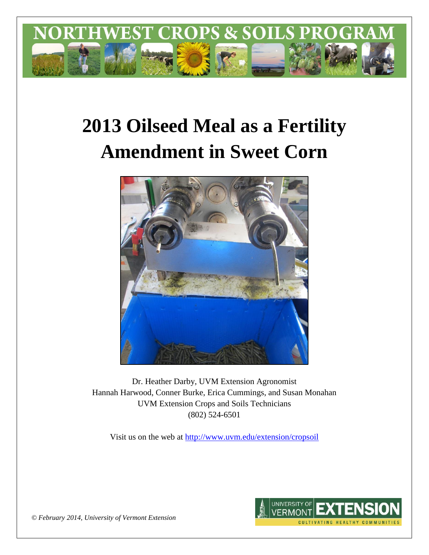

# **2013 Oilseed Meal as a Fertility Amendment in Sweet Corn**



Dr. Heather Darby, UVM Extension Agronomist Hannah Harwood, Conner Burke, Erica Cummings, and Susan Monahan UVM Extension Crops and Soils Technicians (802) 524-6501

Visit us on the web at <http://www.uvm.edu/extension/cropsoil>



*© February 2014, University of Vermont Extension*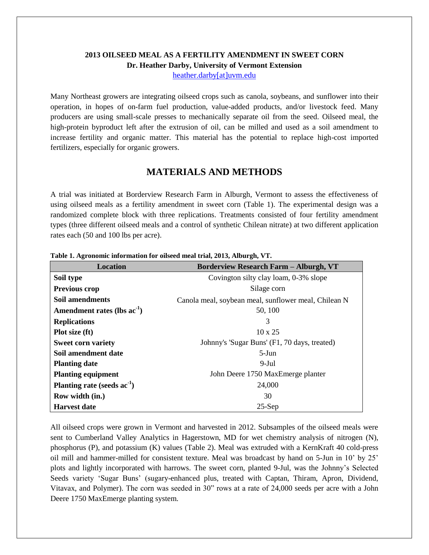## **2013 OILSEED MEAL AS A FERTILITY AMENDMENT IN SWEET CORN Dr. Heather Darby, University of Vermont Extension**

[heather.darby\[at\]uvm.edu](mailto:heather.darby@uvm.edu?subject=2013%20Oilseed%20Meal%20and%20Sweet%20Corn)

Many Northeast growers are integrating oilseed crops such as canola, soybeans, and sunflower into their operation, in hopes of on-farm fuel production, value-added products, and/or livestock feed. Many producers are using small-scale presses to mechanically separate oil from the seed. Oilseed meal, the high-protein byproduct left after the extrusion of oil, can be milled and used as a soil amendment to increase fertility and organic matter. This material has the potential to replace high-cost imported fertilizers, especially for organic growers.

# **MATERIALS AND METHODS**

A trial was initiated at Borderview Research Farm in Alburgh, Vermont to assess the effectiveness of using oilseed meals as a fertility amendment in sweet corn (Table 1). The experimental design was a randomized complete block with three replications. Treatments consisted of four fertility amendment types (three different oilseed meals and a control of synthetic Chilean nitrate) at two different application rates each (50 and 100 lbs per acre).

| <b>Location</b>                  | <b>Borderview Research Farm - Alburgh, VT</b>        |  |  |  |  |  |
|----------------------------------|------------------------------------------------------|--|--|--|--|--|
| Soil type                        | Covington silty clay loam, 0-3% slope                |  |  |  |  |  |
| <b>Previous crop</b>             | Silage corn                                          |  |  |  |  |  |
| Soil amendments                  | Canola meal, soybean meal, sunflower meal, Chilean N |  |  |  |  |  |
| Amendment rates (lbs $ac^{-1}$ ) | 50, 100                                              |  |  |  |  |  |
| <b>Replications</b>              | 3                                                    |  |  |  |  |  |
| Plot size (ft)                   | $10 \times 25$                                       |  |  |  |  |  |
| <b>Sweet corn variety</b>        | Johnny's 'Sugar Buns' (F1, 70 days, treated)         |  |  |  |  |  |
| Soil amendment date              | $5-J$ un                                             |  |  |  |  |  |
| <b>Planting date</b>             | $9-Jul$                                              |  |  |  |  |  |
| <b>Planting equipment</b>        | John Deere 1750 MaxEmerge planter                    |  |  |  |  |  |
| Planting rate (seeds $ac^{-1}$ ) | 24,000                                               |  |  |  |  |  |
| Row width (in.)                  | 30                                                   |  |  |  |  |  |
| <b>Harvest date</b>              | $25-Sep$                                             |  |  |  |  |  |

**Table 1. Agronomic information for oilseed meal trial, 2013, Alburgh, VT.**

All oilseed crops were grown in Vermont and harvested in 2012. Subsamples of the oilseed meals were sent to Cumberland Valley Analytics in Hagerstown, MD for wet chemistry analysis of nitrogen (N), phosphorus (P), and potassium (K) values (Table 2). Meal was extruded with a KernKraft 40 cold-press oil mill and hammer-milled for consistent texture. Meal was broadcast by hand on 5-Jun in 10' by 25' plots and lightly incorporated with harrows. The sweet corn, planted 9-Jul, was the Johnny's Selected Seeds variety 'Sugar Buns' (sugary-enhanced plus, treated with Captan, Thiram, Apron, Dividend, Vitavax, and Polymer). The corn was seeded in 30" rows at a rate of 24,000 seeds per acre with a John Deere 1750 MaxEmerge planting system.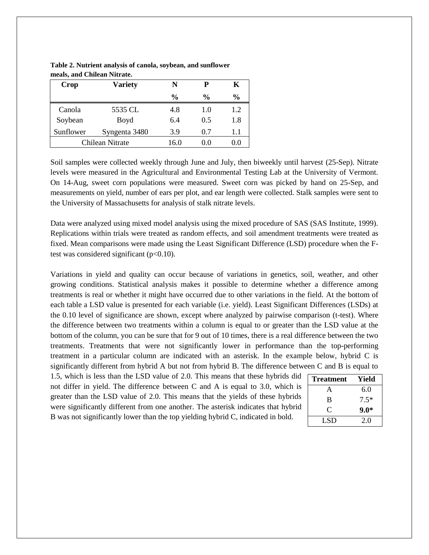| <b>Crop</b>     | Variety       | N             | P             | Κ             |  |
|-----------------|---------------|---------------|---------------|---------------|--|
|                 |               | $\frac{0}{0}$ | $\frac{0}{0}$ | $\frac{0}{0}$ |  |
| Canola          | 5535 CL       | 4.8           | 1.0           | 1.2           |  |
| Soybean         | Boyd          | 6.4           | 0.5           | 1.8           |  |
| Sunflower       | Syngenta 3480 | 3.9           | 0.7           | 1.1           |  |
| Chilean Nitrate |               | 16.0          | 0.0           | 0.0           |  |

**Table 2. Nutrient analysis of canola, soybean, and sunflower meals, and Chilean Nitrate.**

Soil samples were collected weekly through June and July, then biweekly until harvest (25-Sep). Nitrate levels were measured in the Agricultural and Environmental Testing Lab at the University of Vermont. On 14-Aug, sweet corn populations were measured. Sweet corn was picked by hand on 25-Sep, and measurements on yield, number of ears per plot, and ear length were collected. Stalk samples were sent to the University of Massachusetts for analysis of stalk nitrate levels.

Data were analyzed using mixed model analysis using the mixed procedure of SAS (SAS Institute, 1999). Replications within trials were treated as random effects, and soil amendment treatments were treated as fixed. Mean comparisons were made using the Least Significant Difference (LSD) procedure when the Ftest was considered significant ( $p<0.10$ ).

Variations in yield and quality can occur because of variations in genetics, soil, weather, and other growing conditions. Statistical analysis makes it possible to determine whether a difference among treatments is real or whether it might have occurred due to other variations in the field. At the bottom of each table a LSD value is presented for each variable (i.e. yield). Least Significant Differences (LSDs) at the 0.10 level of significance are shown, except where analyzed by pairwise comparison (t-test). Where the difference between two treatments within a column is equal to or greater than the LSD value at the bottom of the column, you can be sure that for 9 out of 10 times, there is a real difference between the two treatments. Treatments that were not significantly lower in performance than the top-performing treatment in a particular column are indicated with an asterisk. In the example below, hybrid C is significantly different from hybrid A but not from hybrid B. The difference between C and B is equal to

1.5, which is less than the LSD value of 2.0. This means that these hybrids did not differ in yield. The difference between C and A is equal to 3.0, which is greater than the LSD value of 2.0. This means that the yields of these hybrids were significantly different from one another. The asterisk indicates that hybrid B was not significantly lower than the top yielding hybrid C, indicated in bold.

| <b>Treatment</b> | Yield  |
|------------------|--------|
| A                | 6.0    |
| B                | $7.5*$ |
| ⊖                | $9.0*$ |
| LSD              | 2.0    |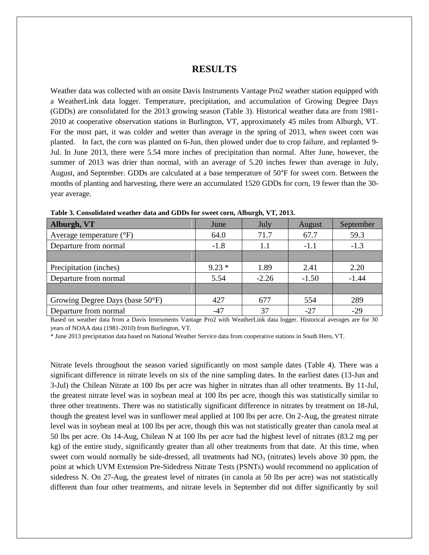#### **RESULTS**

Weather data was collected with an onsite Davis Instruments Vantage Pro2 weather station equipped with a WeatherLink data logger. Temperature, precipitation, and accumulation of Growing Degree Days (GDDs) are consolidated for the 2013 growing season (Table 3). Historical weather data are from 1981- 2010 at cooperative observation stations in Burlington, VT, approximately 45 miles from Alburgh, VT. For the most part, it was colder and wetter than average in the spring of 2013, when sweet corn was planted. In fact, the corn was planted on 6-Jun, then plowed under due to crop failure, and replanted 9- Jul. In June 2013, there were 5.54 more inches of precipitation than normal. After June, however, the summer of 2013 was drier than normal, with an average of 5.20 inches fewer than average in July, August, and September. GDDs are calculated at a base temperature of 50°F for sweet corn. Between the months of planting and harvesting, there were an accumulated 1520 GDDs for corn, 19 fewer than the 30 year average.

| 59.3    |
|---------|
| $-1.3$  |
|         |
| 2.20    |
| $-1.44$ |
|         |
| 289     |
| $-29$   |
|         |

**Table 3. Consolidated weather data and GDDs for sweet corn, Alburgh, VT, 2013.**

Based on weather data from a Davis Instruments Vantage Pro2 with WeatherLink data logger. Historical averages are for 30 years of NOAA data (1981-2010) from Burlington, VT.

\* June 2013 precipitation data based on National Weather Service data from cooperative stations in South Hero, VT.

Nitrate levels throughout the season varied significantly on most sample dates (Table 4). There was a significant difference in nitrate levels on six of the nine sampling dates. In the earliest dates (13-Jun and 3-Jul) the Chilean Nitrate at 100 lbs per acre was higher in nitrates than all other treatments. By 11-Jul, the greatest nitrate level was in soybean meal at 100 lbs per acre, though this was statistically similar to three other treatments. There was no statistically significant difference in nitrates by treatment on 18-Jul, though the greatest level was in sunflower meal applied at 100 lbs per acre. On 2-Aug, the greatest nitrate level was in soybean meal at 100 lbs per acre, though this was not statistically greater than canola meal at 50 lbs per acre. On 14-Aug, Chilean N at 100 lbs per acre had the highest level of nitrates (83.2 mg per kg) of the entire study, significantly greater than all other treatments from that date. At this time, when sweet corn would normally be side-dressed, all treatments had  $NO<sub>3</sub>$  (nitrates) levels above 30 ppm, the point at which UVM Extension Pre-Sidedress Nitrate Tests (PSNTs) would recommend no application of sidedress N. On 27-Aug, the greatest level of nitrates (in canola at 50 lbs per acre) was not statistically different than four other treatments, and nitrate levels in September did not differ significantly by soil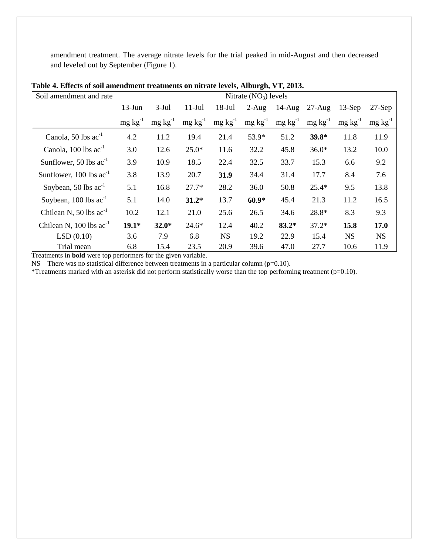amendment treatment. The average nitrate levels for the trial peaked in mid-August and then decreased and leveled out by September (Figure 1).

| Soil amendment and rate        | Nitrate $(NO3)$ levels |                 |                 |                 |                 |                 |                 |                 |                 |
|--------------------------------|------------------------|-----------------|-----------------|-----------------|-----------------|-----------------|-----------------|-----------------|-----------------|
|                                | $13-Jun$               | $3-Jul$         | $11-Jul$        | $18-Jul$        | $2-Aug$         | $14-Aug$        | $27-Aug$        | $13-Sep$        | $27-Sep$        |
|                                | $mg \, kg^{-1}$        | $mg \, kg^{-1}$ | $mg \, kg^{-1}$ | $mg \, kg^{-1}$ | $mg \, kg^{-1}$ | $mg \, kg^{-1}$ | $mg \, kg^{-1}$ | $mg \, kg^{-1}$ | $mg \, kg^{-1}$ |
| Canola, 50 lbs $ac^{-1}$       | 4.2                    | 11.2            | 19.4            | 21.4            | 53.9*           | 51.2            | 39.8*           | 11.8            | 11.9            |
| Canola, $100$ lbs $ac^{-1}$    | 3.0                    | 12.6            | $25.0*$         | 11.6            | 32.2            | 45.8            | $36.0*$         | 13.2            | 10.0            |
| Sunflower, 50 lbs $ac^{-1}$    | 3.9                    | 10.9            | 18.5            | 22.4            | 32.5            | 33.7            | 15.3            | 6.6             | 9.2             |
| Sunflower, $100$ lbs $ac^{-1}$ | 3.8                    | 13.9            | 20.7            | 31.9            | 34.4            | 31.4            | 17.7            | 8.4             | 7.6             |
| Soybean, 50 lbs $ac^{-1}$      | 5.1                    | 16.8            | $27.7*$         | 28.2            | 36.0            | 50.8            | $25.4*$         | 9.5             | 13.8            |
| Soybean, $100$ lbs $ac^{-1}$   | 5.1                    | 14.0            | $31.2*$         | 13.7            | $60.9*$         | 45.4            | 21.3            | 11.2            | 16.5            |
| Chilean N, 50 lbs $ac^{-1}$    | 10.2                   | 12.1            | 21.0            | 25.6            | 26.5            | 34.6            | 28.8*           | 8.3             | 9.3             |
| Chilean N, $100$ lbs $ac^{-1}$ | $19.1*$                | $32.0*$         | $24.6*$         | 12.4            | 40.2            | $83.2*$         | $37.2*$         | 15.8            | 17.0            |
| LSD(0.10)                      | 3.6                    | 7.9             | 6.8             | <b>NS</b>       | 19.2            | 22.9            | 15.4            | <b>NS</b>       | <b>NS</b>       |
| Trial mean                     | 6.8                    | 15.4            | 23.5            | 20.9            | 39.6            | 47.0            | 27.7            | 10.6            | 11.9            |

**Table 4. Effects of soil amendment treatments on nitrate levels, Alburgh, VT, 2013.**

Treatments in **bold** were top performers for the given variable.

 $NS$  – There was no statistical difference between treatments in a particular column (p=0.10).

\*Treatments marked with an asterisk did not perform statistically worse than the top performing treatment (p=0.10).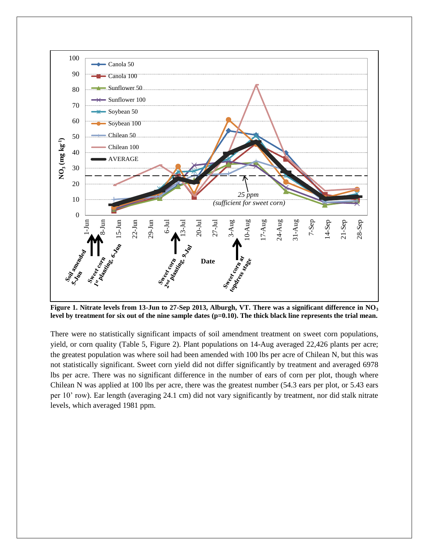

**Figure 1. Nitrate levels from 13-Jun to 27-Sep 2013, Alburgh, VT. There was a significant difference in NO<sup>3</sup> level by treatment for six out of the nine sample dates (p=0.10). The thick black line represents the trial mean.** 

There were no statistically significant impacts of soil amendment treatment on sweet corn populations, yield, or corn quality (Table 5, Figure 2). Plant populations on 14-Aug averaged 22,426 plants per acre; the greatest population was where soil had been amended with 100 lbs per acre of Chilean N, but this was not statistically significant. Sweet corn yield did not differ significantly by treatment and averaged 6978 lbs per acre. There was no significant difference in the number of ears of corn per plot, though where Chilean N was applied at 100 lbs per acre, there was the greatest number (54.3 ears per plot, or 5.43 ears per 10' row). Ear length (averaging 24.1 cm) did not vary significantly by treatment, nor did stalk nitrate levels, which averaged 1981 ppm.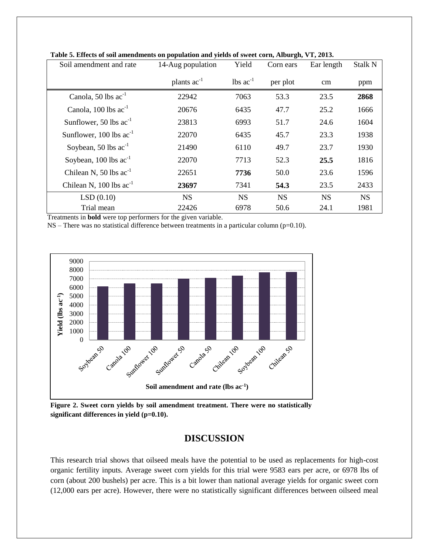| Soil amendment and rate        | 14-Aug population | Yield                         | Corn ears | Ear length | Stalk N   |
|--------------------------------|-------------------|-------------------------------|-----------|------------|-----------|
|                                | plants $ac^{-1}$  | $\text{lbs}$ ac <sup>-1</sup> | per plot  | cm         | ppm       |
| Canola, 50 lbs $ac^{-1}$       | 22942             | 7063                          | 53.3      | 23.5       | 2868      |
| Canola, $100$ lbs $ac^{-1}$    | 20676             | 6435                          | 47.7      | 25.2       | 1666      |
| Sunflower, 50 lbs $ac^{-1}$    | 23813             | 6993                          | 51.7      | 24.6       | 1604      |
| Sunflower, $100$ lbs $ac^{-1}$ | 22070             | 6435                          | 45.7      | 23.3       | 1938      |
| Soybean, 50 lbs $ac^{-1}$      | 21490             | 6110                          | 49.7      | 23.7       | 1930      |
| Soybean, $100$ lbs $ac^{-1}$   | 22070             | 7713                          | 52.3      | 25.5       | 1816      |
| Chilean N, 50 lbs $ac^{-1}$    | 22651             | 7736                          | 50.0      | 23.6       | 1596      |
| Chilean N, $100$ lbs $ac^{-1}$ | 23697             | 7341                          | 54.3      | 23.5       | 2433      |
| LSD(0.10)                      | <b>NS</b>         | <b>NS</b>                     | <b>NS</b> | <b>NS</b>  | <b>NS</b> |
| Trial mean                     | 22426             | 6978                          | 50.6      | 24.1       | 1981      |

**Table 5. Effects of soil amendments on population and yields of sweet corn, Alburgh, VT, 2013.**

Treatments in **bold** were top performers for the given variable.

 $NS$  – There was no statistical difference between treatments in a particular column (p=0.10).



**Figure 2. Sweet corn yields by soil amendment treatment. There were no statistically significant differences in yield (p=0.10).**

## **DISCUSSION**

This research trial shows that oilseed meals have the potential to be used as replacements for high-cost organic fertility inputs. Average sweet corn yields for this trial were 9583 ears per acre, or 6978 lbs of corn (about 200 bushels) per acre. This is a bit lower than national average yields for organic sweet corn (12,000 ears per acre). However, there were no statistically significant differences between oilseed meal